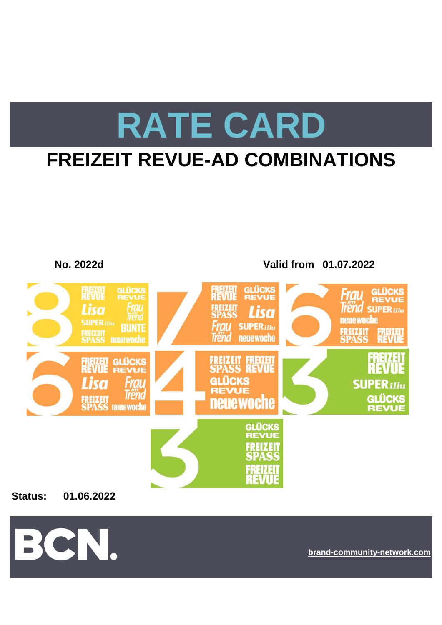# **RATE CARD**

## **FREIZEIT REVUE-AD COMBINATIONS**



**Status: 01.06.2022**



**[bra](https://bcn.burda.com/)nd-community-network.com**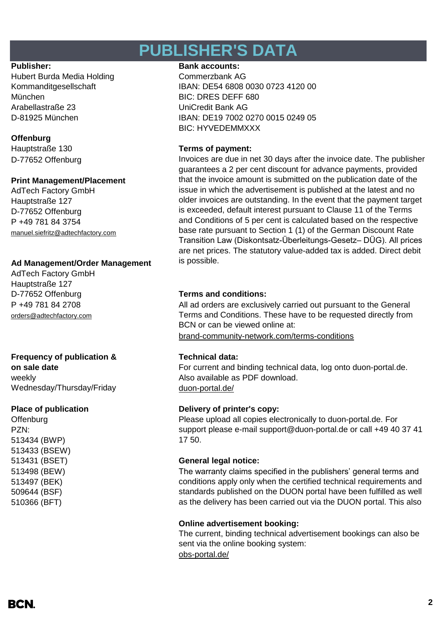### **PUBLISHER'S DATA**

Hubert Burda Media Holding Commerzbank AG München BIC: DRES DEFF 680 Arabellastraße 23 UniCredit Bank AG

#### **Offenburg**

D-77652 Offenburg

### **Print Management/Placement**

AdTech Factory GmbH Hauptstraße 127 D-77652 Offenburg P +49 781 84 3754 [manuel.siefritz@adtechfactory.com](mailto:manuel.siefritz@adtechfactory.com)

### **Ad Management/Order Management**

AdTech Factory GmbH Hauptstraße 127 P +49 781 84 2708 [orders@adtechfactory.com](mailto:orders@adtechfactory.com)

### **Frequency of publication & Technical data:**

**on sale date** weekly Wednesday/Thursday/Friday duon-portal.de/

**Offenburg** PZN: 513434 (BWP) 513433 (BSEW) 513498 (BEW) 513497 (BEK) 509644 (BSF) 510366 (BFT)

#### Publisher: **Bank accounts: Bank accounts:**

Kommanditgesellschaft IBAN: DE54 6808 0030 0723 4120 00 D-81925 München IBAN: DE19 7002 0270 0015 0249 05 BIC: HYVEDEMMXXX

### Hauptstraße 130 **Terms of payment:**

Invoices are due in net 30 days after the invoice date. The publisher guarantees a 2 per cent discount for advance payments, provided that the invoice amount is submitted on the publication date of the issue in which the advertisement is published at the latest and no older invoices are outstanding. In the event that the payment target is exceeded, default interest pursuant to Clause 11 of the Terms and Conditions of 5 per cent is calculated based on the respective base rate pursuant to Section 1 (1) of the German Discount Rate Transition Law (Diskontsatz-Überleitungs-Gesetz– DÜG). All prices are net prices. The statutory value-added tax is added. Direct debit is possible.

### D-77652 Offenburg **Terms and conditions:**

[brand-community-network.com/terms-conditions](https://bcn.burda.com/terms-conditions) All ad orders are exclusively carried out pursuant to the General Terms and Conditions. These have to be requested directly from BCN or can be viewed online at:

For current and binding technical data, log onto duon-portal.de. Also available as PDF download.

### **Place of publication Delivery of printer's copy:**

Please upload all copies electronically to duon-portal.de. For support please e-mail support@duon-portal.de or call +49 40 37 41 17 50.

### 513431 (BSET) **General legal notice:**

The warranty claims specified in the publishers' general terms and conditions apply only when the certified technical requirements and standards published on the DUON portal have been fulfilled as well as the delivery has been carried out via the DUON portal. This also

#### **Online advertisement booking:**

[obs-portal.de/](https://www.obs-portal.de/) The current, binding technical advertisement bookings can also be sent via the online booking system: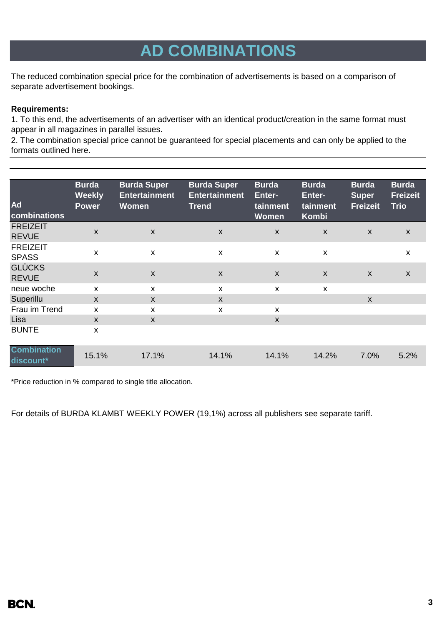## **AD COMBINATIONS**

The reduced combination special price for the combination of advertisements is based on a comparison of separate advertisement bookings.

#### **Requirements:**

1. To this end, the advertisements of an advertiser with an identical product/creation in the same format must appear in all magazines in parallel issues.

2. The combination special price cannot be guaranteed for special placements and can only be applied to the formats outlined here.

| Ad<br>combinations              | <b>Burda</b><br><b>Weekly</b><br><b>Power</b> | <b>Burda Super</b><br><b>Entertainment</b><br><b>Women</b> | <b>Burda Super</b><br><b>Entertainment</b><br><b>Trend</b> | <b>Burda</b><br><b>Enter-</b><br>tainment<br><b>Women</b> | <b>Burda</b><br>Enter-<br>tainment<br>Kombi | <b>Burda</b><br><b>Super</b><br><b>Freizeit</b> | <b>Burda</b><br><b>Freizeit</b><br><b>Trio</b> |
|---------------------------------|-----------------------------------------------|------------------------------------------------------------|------------------------------------------------------------|-----------------------------------------------------------|---------------------------------------------|-------------------------------------------------|------------------------------------------------|
| <b>FREIZEIT</b><br><b>REVUE</b> | $\boldsymbol{\mathsf{X}}$                     | $\boldsymbol{\mathsf{X}}$                                  | X                                                          | X                                                         | $\boldsymbol{\mathsf{X}}$                   | $\boldsymbol{\mathsf{X}}$                       | X                                              |
| <b>FREIZEIT</b><br><b>SPASS</b> | $\boldsymbol{\mathsf{x}}$                     | X                                                          | X                                                          | X                                                         | X                                           |                                                 | X                                              |
| <b>GLÜCKS</b><br><b>REVUE</b>   | $\boldsymbol{\mathsf{X}}$                     | $\mathsf{X}$                                               | $\pmb{\times}$                                             | $\boldsymbol{X}$                                          | $\boldsymbol{\mathsf{X}}$                   | $\boldsymbol{\mathsf{x}}$                       | $\pmb{\mathsf{X}}$                             |
| neue woche                      | X                                             | X                                                          | X                                                          | X                                                         | X                                           |                                                 |                                                |
| Superillu                       | $\mathsf{x}$                                  | $\mathsf{x}$                                               | $\mathsf{x}$                                               |                                                           |                                             | $\mathsf{x}$                                    |                                                |
| Frau im Trend                   | X                                             | X                                                          | X                                                          | X                                                         |                                             |                                                 |                                                |
| Lisa                            | $\mathsf{x}$                                  | $\mathsf{x}$                                               |                                                            | $\mathsf{x}$                                              |                                             |                                                 |                                                |
| <b>BUNTE</b>                    | X                                             |                                                            |                                                            |                                                           |                                             |                                                 |                                                |
| <b>Combination</b><br>discount* | 15.1%                                         | 17.1%                                                      | 14.1%                                                      | 14.1%                                                     | 14.2%                                       | 7.0%                                            | 5.2%                                           |

\*Price reduction in % compared to single title allocation.

For details of BURDA KLAMBT WEEKLY POWER (19,1%) across all publishers see separate tariff.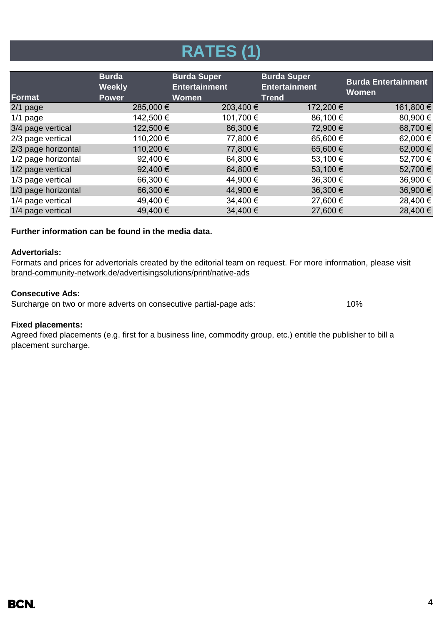## **RATES (1)**

| Format              | <b>Burda</b><br><b>Weekly</b><br><b>Power</b> | <b>Burda Super</b><br><b>Entertainment</b><br><b>Women</b> | <b>Burda Super</b><br><b>Entertainment</b><br><b>Trend</b> | <b>Burda Entertainment</b><br><b>Women</b> |
|---------------------|-----------------------------------------------|------------------------------------------------------------|------------------------------------------------------------|--------------------------------------------|
| $2/1$ page          | 285,000 €                                     | 203,400 €                                                  | 172,200 €                                                  | 161,800 €                                  |
| $1/1$ page          | 142,500 €                                     | 101,700 €                                                  | 86,100 €                                                   | 80,900 €                                   |
| 3/4 page vertical   | 122,500 €                                     | 86,300 €                                                   | 72,900€                                                    | 68,700 €                                   |
| 2/3 page vertical   | 110,200 €                                     | 77,800 €                                                   | 65,600 €                                                   | 62,000 €                                   |
| 2/3 page horizontal | 110,200€                                      | 77,800 €                                                   | 65,600€                                                    | 62,000€                                    |
| 1/2 page horizontal | 92,400 €                                      | 64,800 €                                                   | 53,100 €                                                   | 52,700 €                                   |
| 1/2 page vertical   | 92,400 €                                      | 64,800 €                                                   | 53,100 €                                                   | 52,700€                                    |
| 1/3 page vertical   | 66,300 €                                      | 44,900 €                                                   | 36,300 €                                                   | 36,900€                                    |
| 1/3 page horizontal | 66,300 €                                      | 44,900 €                                                   | 36,300 €                                                   | 36,900€                                    |
| 1/4 page vertical   | 49,400 €                                      | 34,400 €                                                   | 27,600 €                                                   | 28,400€                                    |
| 1/4 page vertical   | 49,400€                                       | 34,400 €                                                   | 27,600 €                                                   | 28,400€                                    |

#### **Further information can be found in the media data.**

#### **Advertorials:**

[brand-community-network.de/advertisingsolutions/print/native-ads](https://bcn.burda.com/advertisingsolutions/print/native-ads) Formats and prices for advertorials created by the editorial team on request. For more information, please visit

#### **Consecutive Ads:**

Surcharge on two or more adverts on consecutive partial-page ads: 10%

#### **Fixed placements:**

Agreed fixed placements (e.g. first for a business line, commodity group, etc.) entitle the publisher to bill a placement surcharge.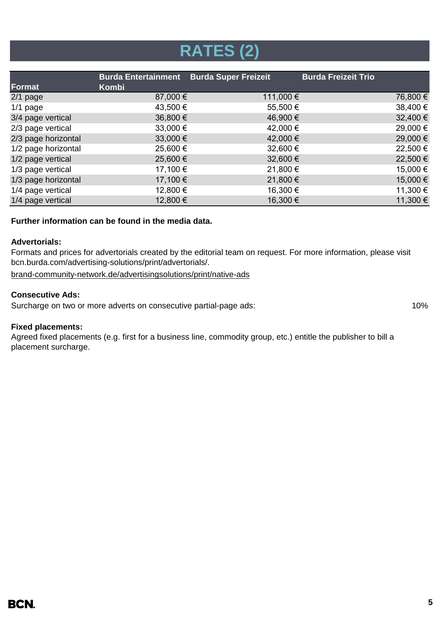## **RATES (2)**

| Format              | <b>Burda Entertainment</b><br>Kombi | <b>Burda Super Freizeit</b> | <b>Burda Freizeit Trio</b> |
|---------------------|-------------------------------------|-----------------------------|----------------------------|
| $2/1$ page          | 87,000 €                            | 111,000 €                   | 76,800 €                   |
| $1/1$ page          | 43,500 €                            | 55,500 €                    | 38,400 €                   |
| 3/4 page vertical   | 36,800 €                            | 46,900 €                    | 32,400 €                   |
| 2/3 page vertical   | 33,000 €                            | 42,000 €                    | 29,000 €                   |
| 2/3 page horizontal | $33,000 \in$                        | 42,000 €                    | 29,000 €                   |
| 1/2 page horizontal | 25,600 €                            | 32,600 €                    | 22,500 €                   |
| 1/2 page vertical   | 25,600 €                            | 32,600 €                    | 22,500 €                   |
| 1/3 page vertical   | 17,100 €                            | 21,800 €                    | 15,000 €                   |
| 1/3 page horizontal | 17,100 €                            | 21,800 €                    | 15,000 €                   |
| 1/4 page vertical   | 12,800 €                            | 16,300 €                    | 11,300 €                   |
| 1/4 page vertical   | 12,800 €                            | 16,300 €                    | 11,300 €                   |

#### **Further information can be found in the media data.**

#### **Advertorials:**

Formats and prices for advertorials created by the editorial team on request. For more information, please visit bcn.burda.com/advertising-solutions/print/advertorials/.

[brand-community-network.de/advertisingsolutions/print/native-ads](https://bcn.burda.com/advertisingsolutions/print/native-ads)

#### **Consecutive Ads:**

Surcharge on two or more adverts on consecutive partial-page ads: 10%

#### **Fixed placements:**

Agreed fixed placements (e.g. first for a business line, commodity group, etc.) entitle the publisher to bill a placement surcharge.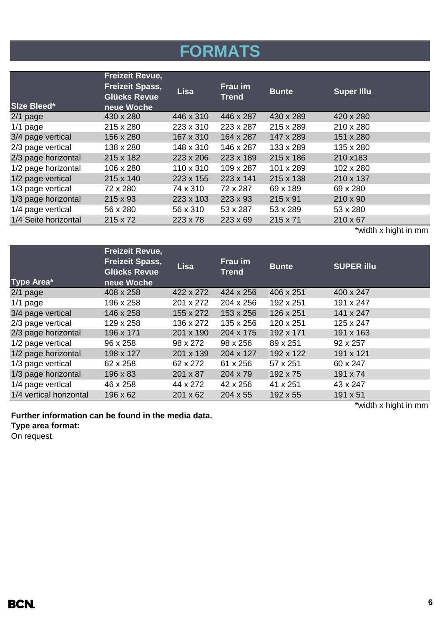## **FORMATS**

| Size Bleed*          | <b>Freizeit Revue,</b><br><b>Freizeit Spass,</b><br><b>Glücks Revue</b><br>neue Woche | <b>Lisa</b> | Frau im<br><b>Trend</b> | <b>Bunte</b> | <b>Super Illu</b>    |
|----------------------|---------------------------------------------------------------------------------------|-------------|-------------------------|--------------|----------------------|
| $2/1$ page           | 430 x 280                                                                             | 446 x 310   | 446 x 287               | 430 x 289    | 420 x 280            |
| $1/1$ page           | 215 x 280                                                                             | 223 x 310   | 223 x 287               | 215 x 289    | 210 x 280            |
| 3/4 page vertical    | 156 x 280                                                                             | 167 x 310   | 164 x 287               | 147 x 289    | 151 x 280            |
| 2/3 page vertical    | 138 x 280                                                                             | 148 x 310   | 146 x 287               | 133 x 289    | 135 x 280            |
| 2/3 page horizontal  | 215 x 182                                                                             | 223 x 206   | 223 x 189               | 215 x 186    | 210 x183             |
| 1/2 page horizontal  | 106 x 280                                                                             | 110 x 310   | $109 \times 287$        | 101 x 289    | 102 x 280            |
| 1/2 page vertical    | 215 x 140                                                                             | 223 x 155   | 223 x 141               | 215 x 138    | 210 x 137            |
| 1/3 page vertical    | 72 x 280                                                                              | 74 x 310    | 72 x 287                | 69 x 189     | 69 x 280             |
| 1/3 page horizontal  | $215 \times 93$                                                                       | 223 x 103   | 223 x 93                | 215 x 91     | $210 \times 90$      |
| 1/4 page vertical    | 56 x 280                                                                              | 56 x 310    | 53 x 287                | 53 x 289     | 53 x 280             |
| 1/4 Seite horizontal | $215 \times 72$                                                                       | 223 x 78    | $223 \times 69$         | 215 x 71     | 210 x 67             |
|                      |                                                                                       |             |                         |              | *width x hight in mm |

|                                     | <b>Freizeit Revue,</b>                        |                 |                         |              |                      |
|-------------------------------------|-----------------------------------------------|-----------------|-------------------------|--------------|----------------------|
|                                     | <b>Freizeit Spass,</b><br><b>Glücks Revue</b> | <b>Lisa</b>     | Frau im<br><b>Trend</b> | <b>Bunte</b> | <b>SUPER illu</b>    |
| Type Area*                          | neue Woche                                    |                 |                         |              |                      |
| $2/1$ page                          | 408 x 258                                     | 422 x 272       | 424 x 256               | 406 x 251    | 400 x 247            |
| $1/1$ page                          | 196 x 258                                     | 201 x 272       | 204 x 256               | 192 x 251    | 191 x 247            |
| 3/4 page vertical                   | 146 x 258                                     | 155 x 272       | 153 x 256               | 126 x 251    | 141 x 247            |
| 2/3 page vertical                   | 129 x 258                                     | 136 x 272       | 135 x 256               | 120 x 251    | 125 x 247            |
| 2/3 page horizontal                 | 196 x 171                                     | 201 x 190       | 204 x 175               | 192 x 171    | 191 x 163            |
| 1/2 page vertical                   | 96 x 258                                      | 98 x 272        | 98 x 256                | 89 x 251     | 92 x 257             |
| 1/2 page horizontal                 | 198 x 127                                     | 201 x 139       | 204 x 127               | 192 x 122    | 191 x 121            |
| 1/3 page vertical                   | 62 x 258                                      | 62 x 272        | 61 x 256                | 57 x 251     | 60 x 247             |
| 1/3 page horizontal                 | 196 x 83                                      | 201 x 87        | 204 x 79                | 192 x 75     | 191 x 74             |
| 1/4 page vertical                   | 46 x 258                                      | 44 x 272        | 42 x 256                | 41 x 251     | 43 x 247             |
| 1/4 vertical horizontal<br>196 x 62 |                                               | $201 \times 62$ | $204 \times 55$         | 192 x 55     | 191 x 51             |
|                                     |                                               |                 |                         |              | *width x hight in mm |

**Further information can be found in the media data.**

**Type area format:**

On request.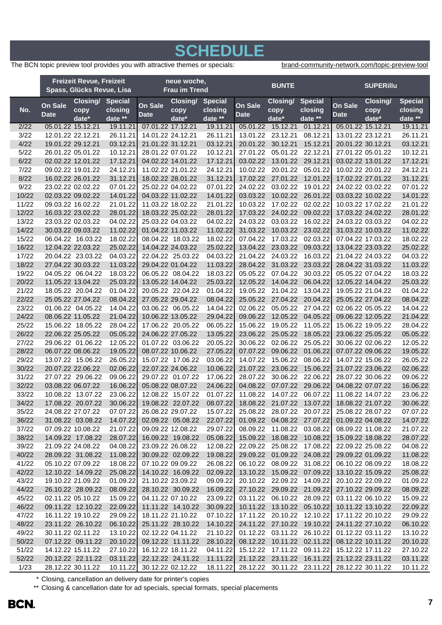### **SCHEDULE**

The BCN topic preview tool provides you with attractive themes or specials: [brand](https://bcn.burda.com/topic-preview-tool)-community-network.com/topic-preview-tool

|                | <b>Freizeit Revue, Freizeit</b><br>Spass, Glücks Revue, Lisa |                                        | neue woche,<br><b>Frau im Trend</b> |                            |                                        | <b>BUNTE</b>                                          |                                     |                      |                              | <b>SUPERIIIu</b>                                      |                                        |                      |
|----------------|--------------------------------------------------------------|----------------------------------------|-------------------------------------|----------------------------|----------------------------------------|-------------------------------------------------------|-------------------------------------|----------------------|------------------------------|-------------------------------------------------------|----------------------------------------|----------------------|
|                |                                                              | Closing/                               | <b>Special</b>                      | Closing/<br><b>Special</b> |                                        | <b>Closing/</b><br><b>Special</b>                     |                                     |                      | Closing/<br><b>Special</b>   |                                                       |                                        |                      |
| No.            | On Sale<br>Date                                              | copy<br>date*                          | closing<br>date $**$                | On Sale<br><b>Date</b>     | copy<br>date*                          | closing<br>date $**$                                  | On Sale<br><b>Date</b>              | copy<br>date*        | closing<br>date **           | On Sale<br><b>Date</b>                                | copy<br>date*                          | closing<br>date **   |
| 2/22           |                                                              | 05.01.22 15.12.21                      | 19.11.21                            | 07.01.22 17.12.21          |                                        | 19.11.21                                              | 05.01.22                            | 15.12.21             | 01.12.21                     | 05.01.22 15.12.21                                     |                                        | 19.11.21             |
| 3/22           |                                                              | 12.01.22 22.12.21                      | 26.11.21                            |                            | 14.01.22 24.12.21                      | 26.11.21                                              | 13.01.22                            | 23.12.21             | 08.12.21                     | 13.01.22 23.12.21                                     |                                        | 26.11.21             |
| 4/22           |                                                              | 19.01.22 29.12.21                      | 03.12.21                            | 21.01.22 31.12.21          |                                        | 03.12.21                                              | 20.01.22                            | 30.12.21             | 15.12.21                     |                                                       | 20.01.22 30.12.21                      | 03.12.21             |
| 5/22           |                                                              | 26.01.22 05.01.22                      | 10.12.21                            |                            | 28.01.22 07.01.22                      | 10.12.21                                              | 27.01.22                            | 05.01.22             | 22.12.21                     |                                                       | 27.01.22 05.01.22                      | 10.12.21             |
| 6/22           |                                                              | 02.02.22 12.01.22                      | 17.12.21                            |                            | 04.02.22 14.01.22                      | 17.12.21                                              | 03.02.22                            | 13.01.22             | 29.12.21                     |                                                       | 03.02.22 13.01.22                      | 17.12.21             |
| 7/22           |                                                              | 09.02.22 19.01.22                      | 24.12.21                            |                            | 11.02.22 21.01.22                      | 24.12.21                                              | 10.02.22                            | 20.01.22             | 05.01.22                     |                                                       | 10.02.22 20.01.22                      | 24.12.21             |
| 8/22           |                                                              | 16.02.22 26.01.22                      | 31.12.21                            |                            | 18.02.22 28.01.22                      | 31.12.21                                              | 17.02.22                            | 27.01.22             | 12.01.22                     |                                                       | 17.02.22 27.01.22                      | 31.12.21             |
| 9/22           |                                                              | 23.02.22 02.02.22                      | 07.01.22                            |                            | 25.02.22 04.02.22                      | 07.01.22                                              | 24.02.22                            | 03.02.22             | 19.01.22                     |                                                       | 24.02.22 03.02.22                      | 07.01.22             |
| 10/22          |                                                              | 02.03.22 09.02.22                      | 14.01.22                            |                            | 04.03.22 11.02.22                      | 14.01.22                                              | 03.03.22                            | 10.02.22             | 26.01.22                     |                                                       | 03.03.22 10.02.22                      | 14.01.22             |
| 11/22          |                                                              | 09.03.22 16.02.22                      | 21.01.22                            |                            | 11.03.22 18.02.22                      | 21.01.22                                              | 10.03.22                            | 17.02.22             | 02.02.22                     |                                                       | 10.03.22 17.02.22                      | 21.01.22             |
| 12/22          |                                                              | 16.03.22 23.02.22                      | 28.01.22                            |                            | 18.03.22 25.02.22                      | 28.01.22                                              | 17.03.22                            | 24.02.22             | 09.02.22                     |                                                       | 17.03.22 24.02.22                      | 28.01.22             |
| 13/22          |                                                              | 23.03.22 02.03.22                      | 04.02.22                            |                            | 25.03.22 04.03.22                      | 04.02.22                                              | 24.03.22                            | 03.03.22             | 16.02.22                     |                                                       | 24.03.22 03.03.22                      | 04.02.22             |
| 14/22          |                                                              | 30.03.22 09.03.22                      | 11.02.22                            |                            | 01.04.22 11.03.22                      | 11.02.22                                              | 31.03.22                            | 10.03.22             | 23.02.22                     |                                                       | 31.03.22 10.03.22                      | 11.02.22             |
| 15/22          |                                                              | 06.04.22 16.03.22                      | 18.02.22                            |                            | 08.04.22 18.03.22                      | 18.02.22                                              | 07.04.22                            | 17.03.22             | 02.03.22                     |                                                       | 07.04.22 17.03.22                      | 18.02.22             |
| 16/22          |                                                              | 12.04.22 22.03.22                      | 25.02.22                            |                            | 14.04.22 24.03.22                      | 25.02.22                                              | 13.04.22                            | 23.03.22             | 09.03.22                     |                                                       | 13.04.22 23.03.22                      | 25.02.22             |
| 17/22          |                                                              | 20.04.22 23.03.22                      | 04.03.22                            |                            | 22.04.22 25.03.22                      | 04.03.22                                              | 21.04.22                            | 24.03.22             | 16.03.22                     |                                                       | 21.04.22 24.03.22                      | 04.03.22             |
| 18/22          |                                                              | 27.04.22 30.03.22                      | 11.03.22                            |                            | 29.04.22 01.04.22                      | 11.03.22                                              | 28.04.22                            | 31.03.22             | 23.03.22                     |                                                       | 28.04.22 31.03.22                      | 11.03.22             |
| 19/22          |                                                              | 04.05.22 06.04.22                      | 18.03.22                            |                            | 06.05.22 08.04.22                      | 18.03.22                                              | 05.05.22                            | 07.04.22             | 30.03.22                     |                                                       | 05.05.22 07.04.22                      | 18.03.22             |
| 20/22          |                                                              | 11.05.22 13.04.22                      | 25.03.22                            |                            | 13.05.22 14.04.22                      | 25.03.22                                              | 12.05.22                            | 14.04.22             | 06.04.22                     |                                                       | 12.05.22 14.04.22                      | 25.03.22             |
| 21/22          |                                                              | 18.05.22 20.04.22                      | 01.04.22                            |                            | 20.05.22 22.04.22                      | 01.04.22                                              | 19.05.22                            | 21.04.22             | 13.04.22                     |                                                       | 19.05.22 21.04.22                      | 01.04.22             |
| 22/22          |                                                              | 25.05.22 27.04.22                      | 08.04.22                            |                            | 27.05.22 29.04.22                      | 08.04.22                                              | 25.05.22                            | 27.04.22             | 20.04.22                     |                                                       | 25.05.22 27.04.22                      | 08.04.22             |
| 23/22          |                                                              | 01.06.22 04.05.22                      | 14.04.22                            |                            | 03.06.22 06.05.22                      | 14.04.22                                              | 02.06.22                            | 05.05.22             | 27.04.22                     |                                                       | 02.06.22 05.05.22                      | 14.04.22             |
| 24/22          |                                                              | 08.06.22 11.05.22                      | 21.04.22                            |                            | 10.06.22 13.05.22                      | 29.04.22                                              | 09.06.22                            | 12.05.22             | 04.05.22                     |                                                       | 09.06.22 12.05.22                      | 21.04.22             |
| 25/22          |                                                              | 15.06.22 18.05.22                      | 28.04.22                            |                            | 17.06.22 20.05.22                      | 06.05.22                                              | 15.06.22                            | 19.05.22             | 11.05.22                     |                                                       | 15.06.22 19.05.22                      | 28.04.22             |
| 26/22<br>27/22 |                                                              | 22.06.22 25.05.22<br>29.06.22 01.06.22 | 05.05.22<br>12.05.22                |                            | 24.06.22 27.05.22                      | 13.05.22<br>20.05.22                                  | 23.06.22<br>30.06.22                | 25.05.22<br>02.06.22 | 18.05.22<br>25.05.22         |                                                       | 23.06.22 25.05.22<br>30.06.22 02.06.22 | 05.05.22<br>12.05.22 |
| 28/22          |                                                              | 06.07.22 08.06.22                      | 19.05.22                            |                            | 01.07.22 03.06.22<br>08.07.22 10.06.22 | 27.05.22                                              | 07.07.22                            | 09.06.22             | 01.06.22                     |                                                       | 07.07.22 09.06.22                      | 19.05.22             |
| 29/22          |                                                              | 13.07.22 15.06.22                      | 26.05.22                            |                            | 15.07.22 17.06.22                      | 03.06.22                                              | 14.07.22                            | 15.06.22             | 08.06.22                     |                                                       | 14.07.22 15.06.22                      | 26.05.22             |
| 30/22          |                                                              | 20.07.22 22.06.22                      | 02.06.22                            |                            | 22.07.22 24.06.22                      | 10.06.22                                              | 21.07.22                            | 23.06.22             | 15.06.22                     |                                                       | 21.07.22 23.06.22                      | 02.06.22             |
| 31/22          |                                                              | 27.07.22 29.06.22                      | 09.06.22                            |                            | 29.07.22 01.07.22                      | 17.06.22                                              | 28.07.22                            | 30.06.22             | 22.06.22                     |                                                       | 28.07.22 30.06.22                      | 09.06.22             |
| 32/22          |                                                              | 03.08.22 06.07.22                      | 16.06.22                            |                            | 05.08.22 08.07.22                      | 24.06.22                                              | 04.08.22                            | 07.07.22             | 29.06.22                     |                                                       | 04.08.22 07.07.22                      | 16.06.22             |
| 33/22          |                                                              | 10.08.22 13.07.22                      | 23.06.22                            |                            | 12.08.22 15.07.22                      | 01.07.22                                              | 11.08.22                            | 14.07.22             | 06.07.22                     |                                                       | 11.08.22 14.07.22                      | 23.06.22             |
| 34/22          |                                                              | 17.08.22 20.07.22                      | 30.06.22                            |                            | 19.08.22 22.07.22                      | 08.07.22                                              | 18.08.22                            | 21.07.22             | 13.07.22                     |                                                       | 18.08.22 21.07.22                      | 30.06.22             |
| 35/22          |                                                              | 24.08.22 27.07.22                      |                                     | 07.07.22 26.08.22 29.07.22 |                                        |                                                       | 15.07.22 25.08.22 28.07.22 20.07.22 |                      |                              | 25.08.22 28.07.22                                     |                                        | 07.07.22             |
| 36/22          |                                                              | 31.08.22 03.08.22                      | 14.07.22                            |                            | 02.09.22 05.08.22                      |                                                       | 22.07.22 01.09.22 04.08.22 27.07.22 |                      |                              | 01.09.22 04.08.22                                     |                                        | 14.07.22             |
| 37/22          |                                                              | 07.09.22 10.08.22                      | 21.07.22                            |                            | 09.09.22 12.08.22                      | 29.07.22                                              |                                     |                      | 08.09.22 11.08.22 03.08.22   |                                                       | 08.09.22 11.08.22                      | 21.07.22             |
| 38/22          |                                                              | 14.09.22 17.08.22                      | 28.07.22                            |                            | 16.09.22 19.08.22                      | 05.08.22                                              |                                     |                      | 15.09.22  18.08.22  10.08.22 |                                                       | 15.09.22 18.08.22                      | 28.07.22             |
| 39/22          |                                                              | 21.09.22 24.08.22                      | 04.08.22                            |                            | 23.09.22 26.08.22                      | 12.08.22                                              |                                     |                      | 22.09.22 25.08.22 17.08.22   |                                                       | 22.09.22 25.08.22                      | 04.08.22             |
| 40/22          |                                                              | 28.09.22 31.08.22                      | 11.08.22                            |                            | 30.09.22 02.09.22                      | 19.08.22                                              |                                     |                      | 29.09.22 01.09.22 24.08.22   |                                                       | 29.09.22 01.09.22                      | 11.08.22             |
| 41/22          |                                                              | 05.10.22 07.09.22                      | 18.08.22                            |                            | 07.10.22 09.09.22                      | 26.08.22                                              |                                     |                      | 06.10.22 08.09.22 31.08.22   |                                                       | 06.10.22 08.09.22                      | 18.08.22             |
| 42/22          |                                                              | 12.10.22 14.09.22                      | 25.08.22                            |                            | 14.10.22 16.09.22                      | 02.09.22                                              |                                     |                      | 13.10.22 15.09.22 07.09.22   |                                                       | 13.10.22 15.09.22                      | 25.08.22             |
| 43/22          |                                                              | 19.10.22 21.09.22                      | 01.09.22                            |                            | 21.10.22 23.09.22                      | 09.09.22                                              |                                     |                      | 20.10.22 22.09.22 14.09.22   | 20.10.22 22.09.22                                     |                                        | 01.09.22             |
| 44/22          |                                                              | 26.10.22 28.09.22                      | 08.09.22                            |                            | 28.10.22 30.09.22                      |                                                       | 16.09.22 27.10.22 29.09.22 21.09.22 |                      |                              | 27.10.22 29.09.22                                     |                                        | 08.09.22             |
| 45/22          |                                                              | 02.11.22 05.10.22                      | 15.09.22                            |                            | 04.11.22 07.10.22                      |                                                       | 23.09.22 03.11.22 06.10.22 28.09.22 |                      |                              | 03.11.22 06.10.22                                     |                                        | 15.09.22             |
| 46/22          |                                                              | 09.11.22 12.10.22                      | 22.09.22                            |                            | 11.11.22 14.10.22                      |                                                       | 30.09.22 10.11.22 13.10.22 05.10.22 |                      |                              | 10.11.22 13.10.22                                     |                                        | 22.09.22             |
| 47/22          |                                                              | 16.11.22 19.10.22                      | 29.09.22                            |                            | 18.11.22 21.10.22                      |                                                       | 07.10.22 17.11.22 20.10.22 12.10.22 |                      |                              |                                                       | 17.11.22 20.10.22                      | 29.09.22             |
| 48/22          |                                                              |                                        | 23.11.22 26.10.22 06.10.22          |                            | 25.11.22 28.10.22                      |                                                       | 14.10.22 24.11.22 27.10.22 19.10.22 |                      |                              | 24.11.22 27.10.22                                     |                                        | 06.10.22             |
| 49/22          |                                                              | 30.11.22 02.11.22                      | 13.10.22                            |                            | 02.12.22 04.11.22                      |                                                       | 21.10.22 01.12.22 03.11.22 26.10.22 |                      |                              | 01.12.22 03.11.22                                     |                                        | 13.10.22             |
| 50/22          |                                                              | 07.12.22 09.11.22                      | 20.10.22                            |                            | 09.12.22 11.11.22                      |                                                       | 28.10.22 08.12.22 10.11.22 02.11.22 |                      |                              | 08.12.22 10.11.22                                     |                                        | 20.10.22             |
| 51/22          |                                                              | 14.12.22 15.11.22                      | 27.10.22                            |                            | 16.12.22 18.11.22                      |                                                       | 04.11.22 15.12.22 17.11.22 09.11.22 |                      |                              | 15.12.22 17.11.22                                     |                                        | 27.10.22             |
| 52/22          |                                                              | 20.12.22 22.11.22                      | 03.11.22                            |                            |                                        | 22.12.22 24.11.22 11.11.22 21.12.22 23.11.22 16.11.22 |                                     |                      |                              | 21.12.22 23.11.22                                     |                                        | 03.11.22             |
| 1/23           |                                                              | 28.12.22 30.11.22                      | 10.11.22                            |                            | 30.12.22 02.12.22                      |                                                       |                                     |                      |                              | 18.11.22 28.12.22 30.11.22 23.11.22 28.12.22 30.11.22 |                                        | 10.11.22             |

\* Closing, cancellation an delivery date for printer's copies

\*\* Closing & cancellation date for ad specials, special formats, special placements